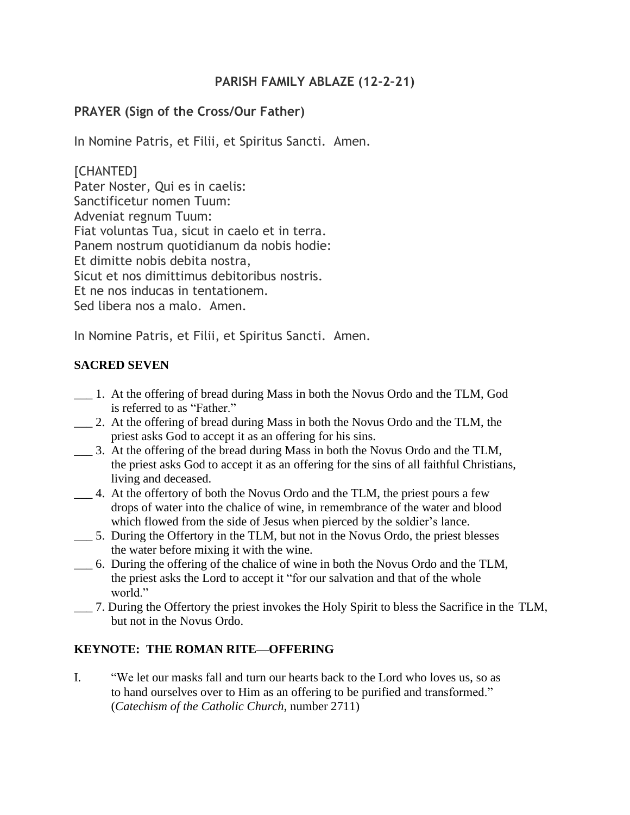## **PARISH FAMILY ABLAZE (12-2–21)**

# **PRAYER (Sign of the Cross/Our Father)**

In Nomine Patris, et Filii, et Spiritus Sancti. Amen.

[CHANTED] Pater Noster, Qui es in caelis: Sanctificetur nomen Tuum: Adveniat regnum Tuum: Fiat voluntas Tua, sicut in caelo et in terra. Panem nostrum quotidianum da nobis hodie: Et dimitte nobis debita nostra, Sicut et nos dimittimus debitoribus nostris. Et ne nos inducas in tentationem. Sed libera nos a malo. Amen.

In Nomine Patris, et Filii, et Spiritus Sancti. Amen.

### **SACRED SEVEN**

- \_\_\_ 1. At the offering of bread during Mass in both the Novus Ordo and the TLM, God is referred to as "Father."
- \_\_\_ 2. At the offering of bread during Mass in both the Novus Ordo and the TLM, the priest asks God to accept it as an offering for his sins.
- \_\_\_ 3. At the offering of the bread during Mass in both the Novus Ordo and the TLM, the priest asks God to accept it as an offering for the sins of all faithful Christians, living and deceased.
- \_\_\_ 4. At the offertory of both the Novus Ordo and the TLM, the priest pours a few drops of water into the chalice of wine, in remembrance of the water and blood which flowed from the side of Jesus when pierced by the soldier's lance.
- \_\_\_ 5. During the Offertory in the TLM, but not in the Novus Ordo, the priest blesses the water before mixing it with the wine.
- \_\_\_ 6. During the offering of the chalice of wine in both the Novus Ordo and the TLM, the priest asks the Lord to accept it "for our salvation and that of the whole world."
- \_\_\_ 7. During the Offertory the priest invokes the Holy Spirit to bless the Sacrifice in the TLM, but not in the Novus Ordo.

### **KEYNOTE: THE ROMAN RITE—OFFERING**

I. "We let our masks fall and turn our hearts back to the Lord who loves us, so as to hand ourselves over to Him as an offering to be purified and transformed." (*Catechism of the Catholic Church*, number 2711)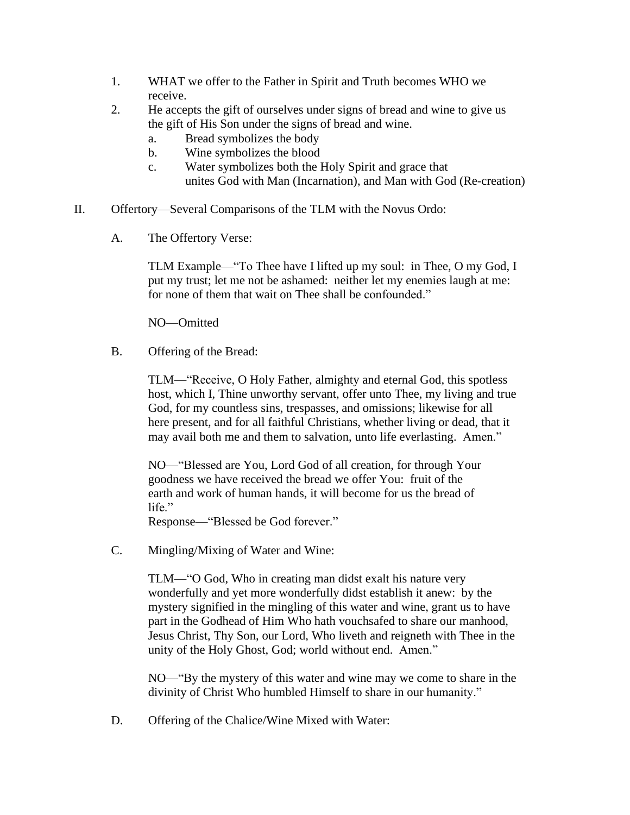- 1. WHAT we offer to the Father in Spirit and Truth becomes WHO we receive.
- 2. He accepts the gift of ourselves under signs of bread and wine to give us the gift of His Son under the signs of bread and wine.
	- a. Bread symbolizes the body
	- b. Wine symbolizes the blood
	- c. Water symbolizes both the Holy Spirit and grace that unites God with Man (Incarnation), and Man with God (Re-creation)
- II. Offertory—Several Comparisons of the TLM with the Novus Ordo:
	- A. The Offertory Verse:

TLM Example—"To Thee have I lifted up my soul: in Thee, O my God, I put my trust; let me not be ashamed: neither let my enemies laugh at me: for none of them that wait on Thee shall be confounded."

NO—Omitted

B. Offering of the Bread:

TLM—"Receive, O Holy Father, almighty and eternal God, this spotless host, which I, Thine unworthy servant, offer unto Thee, my living and true God, for my countless sins, trespasses, and omissions; likewise for all here present, and for all faithful Christians, whether living or dead, that it may avail both me and them to salvation, unto life everlasting. Amen."

NO—"Blessed are You, Lord God of all creation, for through Your goodness we have received the bread we offer You: fruit of the earth and work of human hands, it will become for us the bread of life."

Response—"Blessed be God forever."

C. Mingling/Mixing of Water and Wine:

TLM—"O God, Who in creating man didst exalt his nature very wonderfully and yet more wonderfully didst establish it anew: by the mystery signified in the mingling of this water and wine, grant us to have part in the Godhead of Him Who hath vouchsafed to share our manhood, Jesus Christ, Thy Son, our Lord, Who liveth and reigneth with Thee in the unity of the Holy Ghost, God; world without end. Amen."

NO—"By the mystery of this water and wine may we come to share in the divinity of Christ Who humbled Himself to share in our humanity."

D. Offering of the Chalice/Wine Mixed with Water: